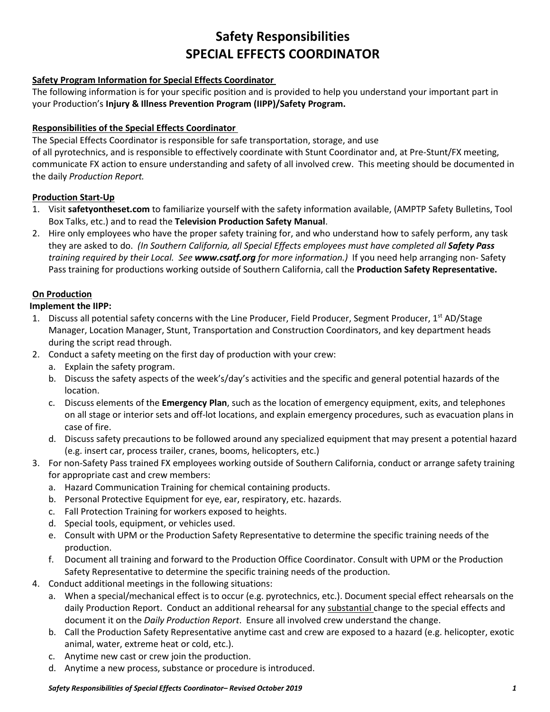# **Safety Responsibilities SPECIAL EFFECTS COORDINATOR**

## **Safety Program Information for Special Effects Coordinator**

The following information is for your specific position and is provided to help you understand your important part in your Production's **Injury & Illness Prevention Program (IIPP)/Safety Program.**

## **Responsibilities of the Special Effects Coordinator**

The Special Effects Coordinator is responsible for safe transportation, storage, and use of all pyrotechnics, and is responsible to effectively coordinate with Stunt Coordinator and, at Pre-Stunt/FX meeting, communicate FX action to ensure understanding and safety of all involved crew. This meeting should be documented in the daily *Production Report.* 

### **Production Start-Up**

- 1. Visit **safetyontheset.com** to familiarize yourself with the safety information available, (AMPTP Safety Bulletins, Tool Box Talks, etc.) and to read the **Television Production Safety Manual**.
- 2. Hire only employees who have the proper safety training for, and who understand how to safely perform, any task they are asked to do. *(In Southern California, all Special Effects employees must have completed all Safety Pass training required by their Local. See www.csatf.org for more information.)* If you need help arranging non- Safety Pass training for productions working outside of Southern California, call the **Production Safety Representative.**

## **On Production**

### **Implement the IIPP:**

- 1. Discuss all potential safety concerns with the Line Producer, Field Producer, Segment Producer, 1<sup>st</sup> AD/Stage Manager, Location Manager, Stunt, Transportation and Construction Coordinators, and key department heads during the script read through.
- 2. Conduct a safety meeting on the first day of production with your crew:
	- a. Explain the safety program.
	- b. Discuss the safety aspects of the week's/day's activities and the specific and general potential hazards of the location.
	- c. Discuss elements of the **Emergency Plan**, such as the location of emergency equipment, exits, and telephones on all stage or interior sets and off-lot locations, and explain emergency procedures, such as evacuation plans in case of fire.
	- d. Discuss safety precautions to be followed around any specialized equipment that may present a potential hazard (e.g. insert car, process trailer, cranes, booms, helicopters, etc.)
- 3. For non-Safety Pass trained FX employees working outside of Southern California, conduct or arrange safety training for appropriate cast and crew members:
	- a. Hazard Communication Training for chemical containing products.
	- b. Personal Protective Equipment for eye, ear, respiratory, etc. hazards.
	- c. Fall Protection Training for workers exposed to heights.
	- d. Special tools, equipment, or vehicles used.
	- e. Consult with UPM or the Production Safety Representative to determine the specific training needs of the production.
	- f. Document all training and forward to the Production Office Coordinator. Consult with UPM or the Production Safety Representative to determine the specific training needs of the production.
- 4. Conduct additional meetings in the following situations:
	- a. When a special/mechanical effect is to occur (e.g. pyrotechnics, etc.). Document special effect rehearsals on the daily Production Report. Conduct an additional rehearsal for any substantial change to the special effects and document it on the *Daily Production Report*. Ensure all involved crew understand the change.
	- b. Call the Production Safety Representative anytime cast and crew are exposed to a hazard (e.g. helicopter, exotic animal, water, extreme heat or cold, etc.).
	- c. Anytime new cast or crew join the production.
	- d. Anytime a new process, substance or procedure is introduced.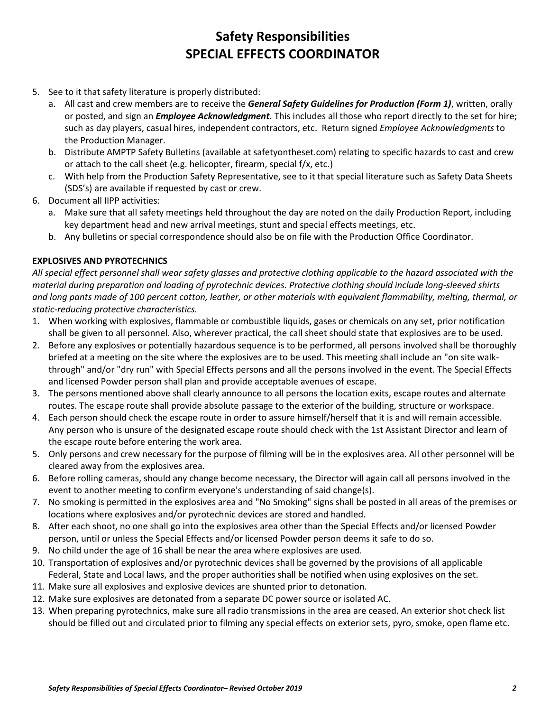# **Safety Responsibilities SPECIAL EFFECTS COORDINATOR**

- 5. See to it that safety literature is properly distributed:
	- a. All cast and crew members are to receive the *General Safety Guidelines for Production (Form 1)*, written, orally or posted, and sign an *Employee Acknowledgment.* This includes all those who report directly to the set for hire; such as day players, casual hires, independent contractors, etc. Return signed *Employee Acknowledgments* to the Production Manager.
	- b. Distribute AMPTP Safety Bulletins (available at safetyontheset.com) relating to specific hazards to cast and crew or attach to the call sheet (e.g. helicopter, firearm, special f/x, etc.)
	- c. With help from the Production Safety Representative, see to it that special literature such as Safety Data Sheets (SDS's) are available if requested by cast or crew.
- 6. Document all IIPP activities:
	- a. Make sure that all safety meetings held throughout the day are noted on the daily Production Report, including key department head and new arrival meetings, stunt and special effects meetings, etc.
	- b. Any bulletins or special correspondence should also be on file with the Production Office Coordinator.

### **EXPLOSIVES AND PYROTECHNICS**

*All special effect personnel shall wear safety glasses and protective clothing applicable to the hazard associated with the material during preparation and loading of pyrotechnic devices. Protective clothing should include long-sleeved shirts and long pants made of 100 percent cotton, leather, or other materials with equivalent flammability, melting, thermal, or static-reducing protective characteristics.* 

- 1. When working with explosives, flammable or combustible liquids, gases or chemicals on any set, prior notification shall be given to all personnel. Also, wherever practical, the call sheet should state that explosives are to be used.
- 2. Before any explosives or potentially hazardous sequence is to be performed, all persons involved shall be thoroughly briefed at a meeting on the site where the explosives are to be used. This meeting shall include an "on site walkthrough" and/or "dry run" with Special Effects persons and all the persons involved in the event. The Special Effects and licensed Powder person shall plan and provide acceptable avenues of escape.
- 3. The persons mentioned above shall clearly announce to all persons the location exits, escape routes and alternate routes. The escape route shall provide absolute passage to the exterior of the building, structure or workspace.
- 4. Each person should check the escape route in order to assure himself/herself that it is and will remain accessible. Any person who is unsure of the designated escape route should check with the 1st Assistant Director and learn of the escape route before entering the work area.
- 5. Only persons and crew necessary for the purpose of filming will be in the explosives area. All other personnel will be cleared away from the explosives area.
- 6. Before rolling cameras, should any change become necessary, the Director will again call all persons involved in the event to another meeting to confirm everyone's understanding of said change(s).
- 7. No smoking is permitted in the explosives area and "No Smoking" signs shall be posted in all areas of the premises or locations where explosives and/or pyrotechnic devices are stored and handled.
- 8. After each shoot, no one shall go into the explosives area other than the Special Effects and/or licensed Powder person, until or unless the Special Effects and/or licensed Powder person deems it safe to do so.
- 9. No child under the age of 16 shall be near the area where explosives are used.
- 10. Transportation of explosives and/or pyrotechnic devices shall be governed by the provisions of all applicable Federal, State and Local laws, and the proper authorities shall be notified when using explosives on the set.
- 11. Make sure all explosives and explosive devices are shunted prior to detonation.
- 12. Make sure explosives are detonated from a separate DC power source or isolated AC.
- 13. When preparing pyrotechnics, make sure all radio transmissions in the area are ceased. An exterior shot check list should be filled out and circulated prior to filming any special effects on exterior sets, pyro, smoke, open flame etc.